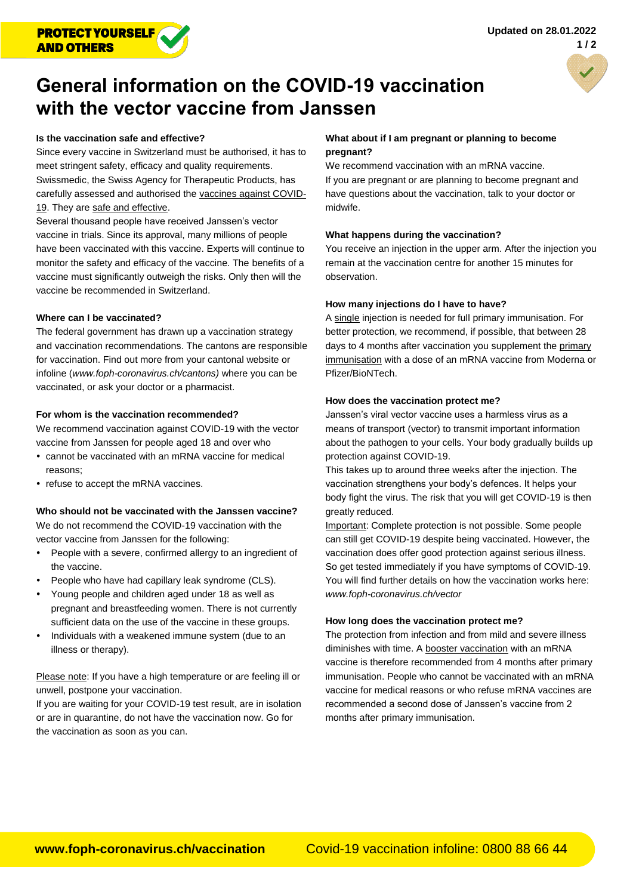

# **General information on the COVID-19 vaccination with the vector vaccine from Janssen**

## **Is the vaccination safe and effective?**

Since every vaccine in Switzerland must be authorised, it has to meet stringent safety, efficacy and quality requirements. Swissmedic, the Swiss Agency for Therapeutic Products, has carefully assessed and authorised the vaccines against COVID-19. They are safe and effective.

Several thousand people have received Janssen's vector vaccine in trials. Since its approval, many millions of people have been vaccinated with this vaccine. Experts will continue to monitor the safety and efficacy of the vaccine. The benefits of a vaccine must significantly outweigh the risks. Only then will the vaccine be recommended in Switzerland.

### **Where can I be vaccinated?**

The federal government has drawn up a vaccination strategy and vaccination recommendations. The cantons are responsible for vaccination. Find out more from your cantonal website or infoline (*[www.foph-coronavirus.ch/cantons\)](http://www.foph-coronavirus.ch/cantons)* where you can be vaccinated, or ask your doctor or a pharmacist.

#### **For whom is the vaccination recommended?**

We recommend vaccination against COVID-19 with the vector vaccine from Janssen for people aged 18 and over who

- cannot be vaccinated with an mRNA vaccine for medical reasons;
- refuse to accept the mRNA vaccines.

# **Who should not be vaccinated with the Janssen vaccine?**

We do not recommend the COVID-19 vaccination with the vector vaccine from Janssen for the following:

- People with a severe, confirmed allergy to an ingredient of the vaccine.
- People who have had capillary leak syndrome (CLS).
- Young people and children aged under 18 as well as pregnant and breastfeeding women. There is not currently sufficient data on the use of the vaccine in these groups.
- Individuals with a weakened immune system (due to an illness or therapy).

Please note: If you have a high temperature or are feeling ill or unwell, postpone your vaccination.

If you are waiting for your COVID-19 test result, are in isolation or are in quarantine, do not have the vaccination now. Go for the vaccination as soon as you can.

#### **What about if I am pregnant or planning to become pregnant?**

We recommend vaccination with an mRNA vaccine. If you are pregnant or are planning to become pregnant and have questions about the vaccination, talk to your doctor or midwife.

#### **What happens during the vaccination?**

You receive an injection in the upper arm. After the injection you remain at the vaccination centre for another 15 minutes for observation.

#### **How many injections do I have to have?**

A single injection is needed for full primary immunisation. For better protection, we recommend, if possible, that between 28 days to 4 months after vaccination you supplement the primary immunisation with a dose of an mRNA vaccine from Moderna or Pfizer/BioNTech.

### **How does the vaccination protect me?**

Janssen's viral vector vaccine uses a harmless virus as a means of transport (vector) to transmit important information about the pathogen to your cells. Your body gradually builds up protection against COVID-19.

This takes up to around three weeks after the injection. The vaccination strengthens your body's defences. It helps your body fight the virus. The risk that you will get COVID-19 is then greatly reduced.

Important: Complete protection is not possible. Some people can still get COVID-19 despite being vaccinated. However, the vaccination does offer good protection against serious illness. So get tested immediately if you have symptoms of COVID-19. You will find further details on how the vaccination works here: *[www.foph-coronavirus.ch/vector](http://www.foph-coronavirus.ch/vector)*

# **How long does the vaccination protect me?**

The protection from infection and from mild and severe illness diminishes with time. A booster vaccination with an mRNA vaccine is therefore recommended from 4 months after primary immunisation. People who cannot be vaccinated with an mRNA vaccine for medical reasons or who refuse mRNA vaccines are recommended a second dose of Janssen's vaccine from 2 months after primary immunisation.